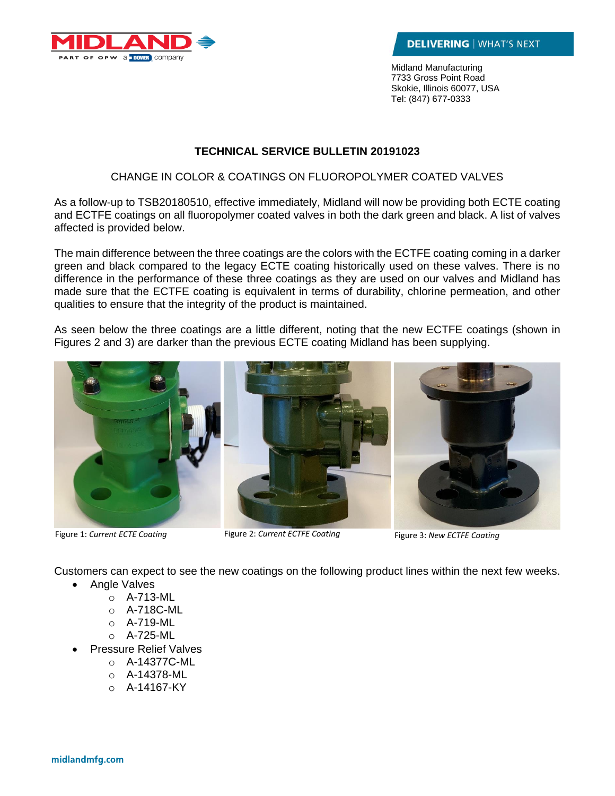

Midland Manufacturing 7733 Gross Point Road Skokie, Illinois 60077, USA Tel: (847) 677-0333

## **TECHNICAL SERVICE BULLETIN 20191023**

## CHANGE IN COLOR & COATINGS ON FLUOROPOLYMER COATED VALVES

As a follow-up to TSB20180510, effective immediately, Midland will now be providing both ECTE coating and ECTFE coatings on all fluoropolymer coated valves in both the dark green and black. A list of valves affected is provided below.

The main difference between the three coatings are the colors with the ECTFE coating coming in a darker green and black compared to the legacy ECTE coating historically used on these valves. There is no difference in the performance of these three coatings as they are used on our valves and Midland has made sure that the ECTFE coating is equivalent in terms of durability, chlorine permeation, and other qualities to ensure that the integrity of the product is maintained.

As seen below the three coatings are a little different, noting that the new ECTFE coatings (shown in Figures 2 and 3) are darker than the previous ECTE coating Midland has been supplying.



Figure 1: *Current ECTE Coating* Figure 2: *Current ECTFE Coating* Figure 3: *New ECTFE Coating*

Customers can expect to see the new coatings on the following product lines within the next few weeks.

- Angle Valves
	- o A-713-ML
	- o A-718C-ML
	- o A-719-ML
	- o A-725-ML
- Pressure Relief Valves
	- o A-14377C-ML
	- o A-14378-ML
	- $O$  A-14167-KY